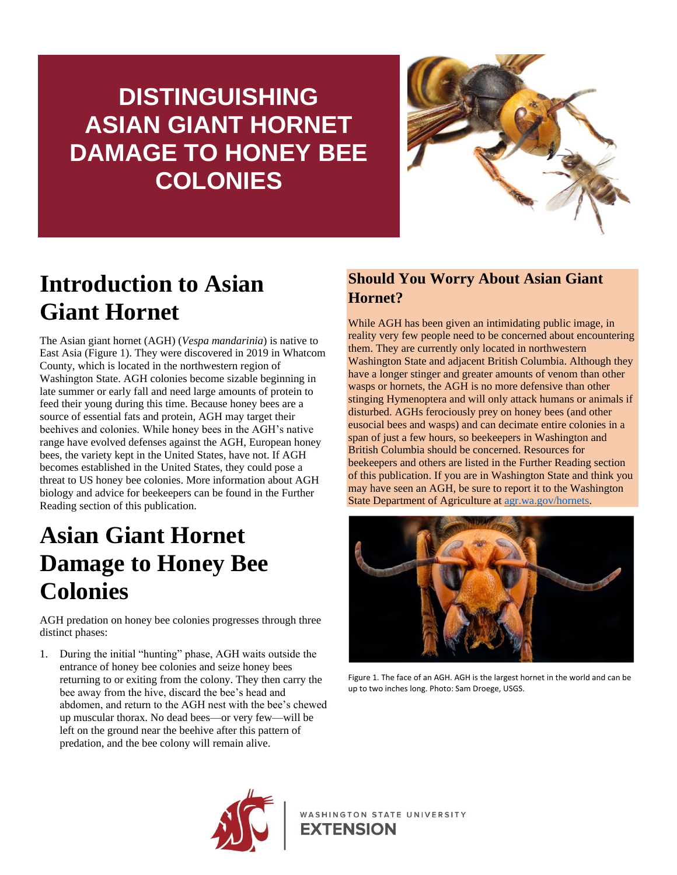## **DISTINGUISHING ASIAN GIANT HORNET DAMAGE TO HONEY BEE COLONIES**



## **Introduction to Asian Giant Hornet**

The Asian giant hornet (AGH) (*Vespa mandarinia*) is native to East Asia (Figure 1). They were discovered in 2019 in Whatcom County, which is located in the northwestern region of Washington State. AGH colonies become sizable beginning in late summer or early fall and need large amounts of protein to feed their young during this time. Because honey bees are a source of essential fats and protein, AGH may target their beehives and colonies. While honey bees in the AGH's native range have evolved defenses against the AGH, European honey bees, the variety kept in the United States, have not. If AGH becomes established in the United States, they could pose a threat to US honey bee colonies. More information about AGH biology and advice for beekeepers can be found in the Further Reading section of this publication.

### **Asian Giant Hornet Damage to Honey Bee Colonies**

AGH predation on honey bee colonies progresses through three distinct phases:

1. During the initial "hunting" phase, AGH waits outside the entrance of honey bee colonies and seize honey bees returning to or exiting from the colony. They then carry the bee away from the hive, discard the bee's head and abdomen, and return to the AGH nest with the bee's chewed up muscular thorax. No dead bees—or very few—will be left on the ground near the beehive after this pattern of predation, and the bee colony will remain alive.

#### **Should You Worry About Asian Giant Hornet?**

While AGH has been given an intimidating public image, in reality very few people need to be concerned about encountering them. They are currently only located in northwestern Washington State and adjacent British Columbia. Although they have a longer stinger and greater amounts of venom than other wasps or hornets, the AGH is no more defensive than other stinging Hymenoptera and will only attack humans or animals if disturbed. AGHs ferociously prey on honey bees (and other eusocial bees and wasps) and can decimate entire colonies in a span of just a few hours, so beekeepers in Washington and British Columbia should be concerned. Resources for beekeepers and others are listed in the Further Reading section of this publication. If you are in Washington State and think you may have seen an AGH, be sure to report it to the Washington State Department of Agriculture at [agr.wa.gov/hornets.](https://agr.wa.gov/hornets)



Figure 1. The face of an AGH. AGH is the largest hornet in the world and can be up to two inches long. Photo: Sam Droege, USGS.



WASHINGTON STATE UNIVERSITY **EXTENSION**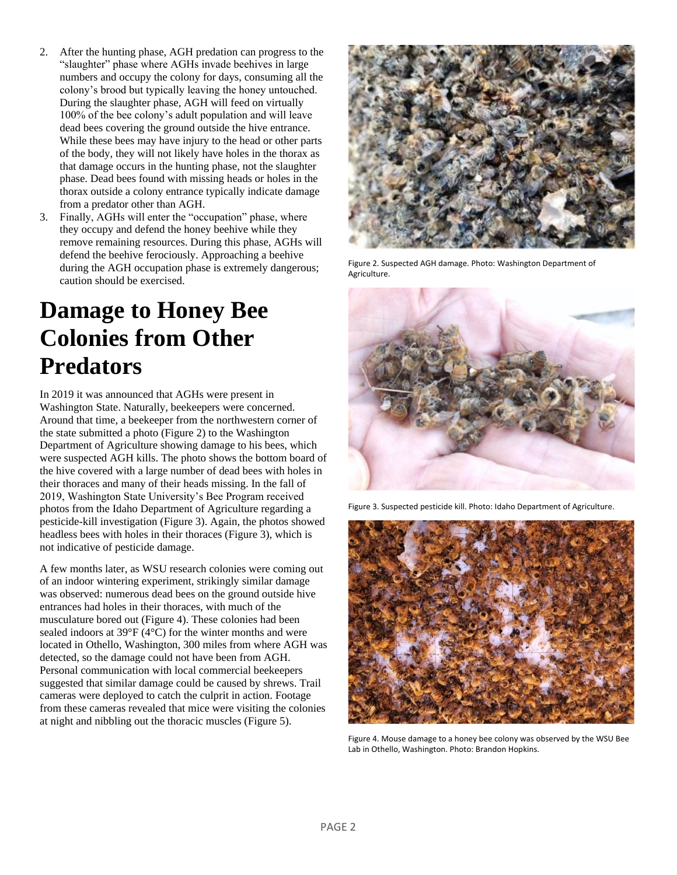- 2. After the hunting phase, AGH predation can progress to the "slaughter" phase where AGHs invade beehives in large numbers and occupy the colony for days, consuming all the colony's brood but typically leaving the honey untouched. During the slaughter phase, AGH will feed on virtually 100% of the bee colony's adult population and will leave dead bees covering the ground outside the hive entrance. While these bees may have injury to the head or other parts of the body, they will not likely have holes in the thorax as that damage occurs in the hunting phase, not the slaughter phase. Dead bees found with missing heads or holes in the thorax outside a colony entrance typically indicate damage from a predator other than AGH.
- 3. Finally, AGHs will enter the "occupation" phase, where they occupy and defend the honey beehive while they remove remaining resources. During this phase, AGHs will defend the beehive ferociously. Approaching a beehive during the AGH occupation phase is extremely dangerous; caution should be exercised.

### **Damage to Honey Bee Colonies from Other Predators**

In 2019 it was announced that AGHs were present in Washington State. Naturally, beekeepers were concerned. Around that time, a beekeeper from the northwestern corner of the state submitted a photo (Figure 2) to the Washington Department of Agriculture showing damage to his bees, which were suspected AGH kills. The photo shows the bottom board of the hive covered with a large number of dead bees with holes in their thoraces and many of their heads missing. In the fall of 2019, Washington State University's Bee Program received photos from the Idaho Department of Agriculture regarding a pesticide-kill investigation (Figure 3). Again, the photos showed headless bees with holes in their thoraces (Figure 3), which is not indicative of pesticide damage.

A few months later, as WSU research colonies were coming out of an indoor wintering experiment, strikingly similar damage was observed: numerous dead bees on the ground outside hive entrances had holes in their thoraces, with much of the musculature bored out (Figure 4). These colonies had been sealed indoors at 39°F (4°C) for the winter months and were located in Othello, Washington, 300 miles from where AGH was detected, so the damage could not have been from AGH. Personal communication with local commercial beekeepers suggested that similar damage could be caused by shrews. Trail cameras were deployed to catch the culprit in action. Footage from these cameras revealed that mice were visiting the colonies at night and nibbling out the thoracic muscles (Figure 5).



Figure 2. Suspected AGH damage. Photo: Washington Department of Agriculture.



Figure 3. Suspected pesticide kill. Photo: Idaho Department of Agriculture.



Figure 4. Mouse damage to a honey bee colony was observed by the WSU Bee Lab in Othello, Washington. Photo: Brandon Hopkins.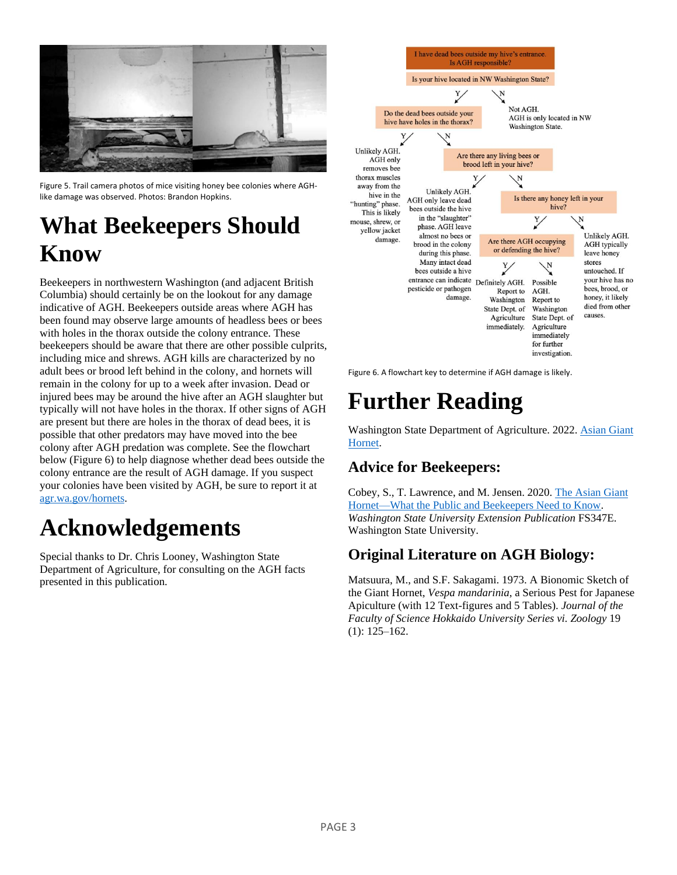

Figure 5. Trail camera photos of mice visiting honey bee colonies where AGHlike damage was observed. Photos: Brandon Hopkins.

### **What Beekeepers Should Know**

Beekeepers in northwestern Washington (and adjacent British Columbia) should certainly be on the lookout for any damage indicative of AGH. Beekeepers outside areas where AGH has been found may observe large amounts of headless bees or bees with holes in the thorax outside the colony entrance. These beekeepers should be aware that there are other possible culprits, including mice and shrews. AGH kills are characterized by no adult bees or brood left behind in the colony, and hornets will remain in the colony for up to a week after invasion. Dead or injured bees may be around the hive after an AGH slaughter but typically will not have holes in the thorax. If other signs of AGH are present but there are holes in the thorax of dead bees, it is possible that other predators may have moved into the bee colony after AGH predation was complete. See the flowchart below (Figure 6) to help diagnose whether dead bees outside the colony entrance are the result of AGH damage. If you suspect your colonies have been visited by AGH, be sure to report it at [agr.wa.gov/hornets.](https://agr.wa.gov/hornets)

## **Acknowledgements**

Special thanks to Dr. Chris Looney, Washington State Department of Agriculture, for consulting on the AGH facts presented in this publication.



Figure 6. A flowchart key to determine if AGH damage is likely.

# **Further Reading**

Washington State Department of Agriculture. 2022. [Asian Giant](https://agr.wa.gov/hornets)  [Hornet.](https://agr.wa.gov/hornets)

#### **Advice for Beekeepers:**

Cobey, S., T. Lawrence, and M. Jensen. 2020. [The Asian Giant](https://pubs.extension.wsu.edu/the-asian-giant-hornet-what-the-public-and-beekeepers-need-to-know)  [Hornet—What the Public and Beekeepers Need to Know.](https://pubs.extension.wsu.edu/the-asian-giant-hornet-what-the-public-and-beekeepers-need-to-know) *Washington State University Extension Publication* FS347E. Washington State University.

#### **Original Literature on AGH Biology:**

Matsuura, M., and S.F. Sakagami. 1973. A Bionomic Sketch of the Giant Hornet, *Vespa mandarinia*, a Serious Pest for Japanese Apiculture (with 12 Text-figures and 5 Tables). *Journal of the Faculty of Science Hokkaido University Series vi. Zoology* 19 (1): 125–162.